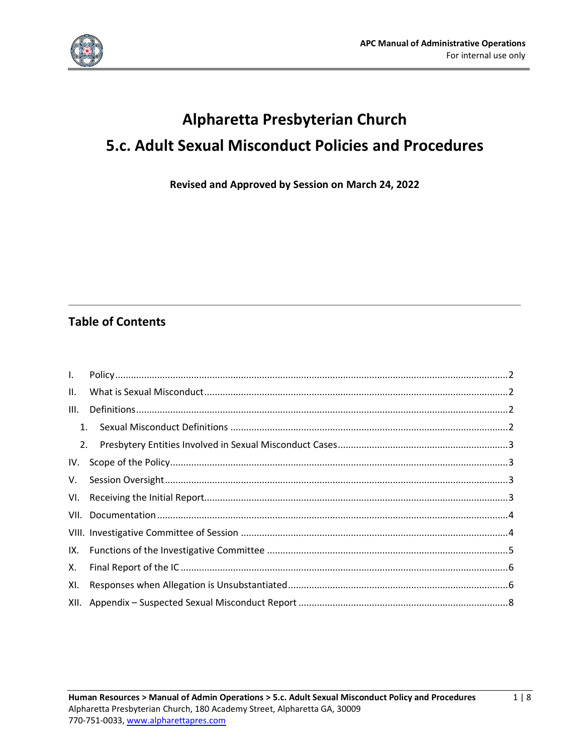

# **Alpharetta Presbyterian Church 5.c. Adult Sexual Misconduct Policies and Procedures**

**Revised and Approved by Session on March 24, 2022**

#### **Table of Contents**

<span id="page-0-0"></span>

| $\mathbf{I}$ . |  |
|----------------|--|
| II.            |  |
| III.           |  |
| 1.             |  |
| 2.             |  |
| IV.            |  |
| V.             |  |
|                |  |
|                |  |
|                |  |
| IX.            |  |
| Х.             |  |
| XI.            |  |
|                |  |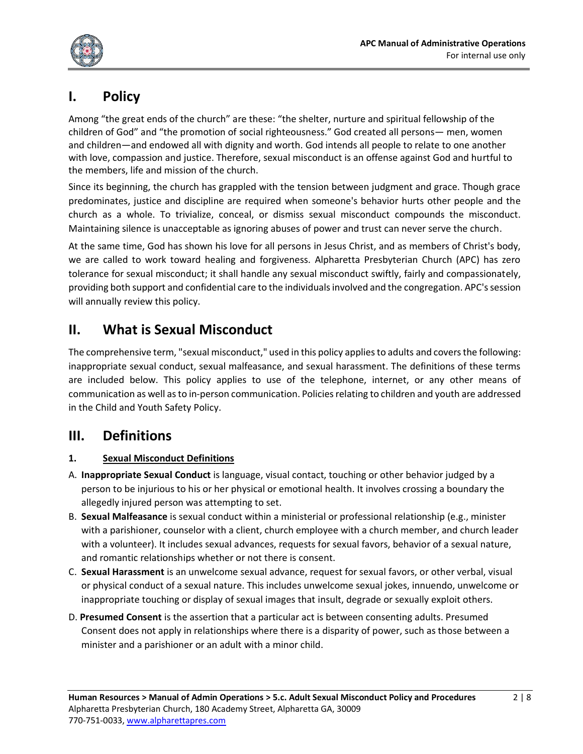

## **I. Policy**

Among "the great ends of the church" are these: "the shelter, nurture and spiritual fellowship of the children of God" and "the promotion of social righteousness." God created all persons— men, women and children—and endowed all with dignity and worth. God intends all people to relate to one another with love, compassion and justice. Therefore, sexual misconduct is an offense against God and hurtful to the members, life and mission of the church.

Since its beginning, the church has grappled with the tension between judgment and grace. Though grace predominates, justice and discipline are required when someone's behavior hurts other people and the church as a whole. To trivialize, conceal, or dismiss sexual misconduct compounds the misconduct. Maintaining silence is unacceptable as ignoring abuses of power and trust can never serve the church.

At the same time, God has shown his love for all persons in Jesus Christ, and as members of Christ's body, we are called to work toward healing and forgiveness. Alpharetta Presbyterian Church (APC) has zero tolerance for sexual misconduct; it shall handle any sexual misconduct swiftly, fairly and compassionately, providing both support and confidential care to the individuals involved and the congregation. APC's session will annually review this policy.

# <span id="page-1-0"></span>**II. What is Sexual Misconduct**

The comprehensive term, "sexual misconduct," used in this policy applies to adults and covers the following: inappropriate sexual conduct, sexual malfeasance, and sexual harassment. The definitions of these terms are included below. This policy applies to use of the telephone, internet, or any other means of communication as well as to in-person communication. Policies relating to children and youth are addressed in the Child and Youth Safety Policy.

#### <span id="page-1-1"></span>**III. Definitions**

#### <span id="page-1-2"></span>**1. Sexual Misconduct Definitions**

- A. **Inappropriate Sexual Conduct** is language, visual contact, touching or other behavior judged by a person to be injurious to his or her physical or emotional health. It involves crossing a boundary the allegedly injured person was attempting to set.
- B. **Sexual Malfeasance** is sexual conduct within a ministerial or professional relationship (e.g., minister with a parishioner, counselor with a client, church employee with a church member, and church leader with a volunteer). It includes sexual advances, requests for sexual favors, behavior of a sexual nature, and romantic relationships whether or not there is consent.
- C. **Sexual Harassment** is an unwelcome sexual advance, request for sexual favors, or other verbal, visual or physical conduct of a sexual nature. This includes unwelcome sexual jokes, innuendo, unwelcome or inappropriate touching or display of sexual images that insult, degrade or sexually exploit others.
- D. **Presumed Consent** is the assertion that a particular act is between consenting adults. Presumed Consent does not apply in relationships where there is a disparity of power, such as those between a minister and a parishioner or an adult with a minor child.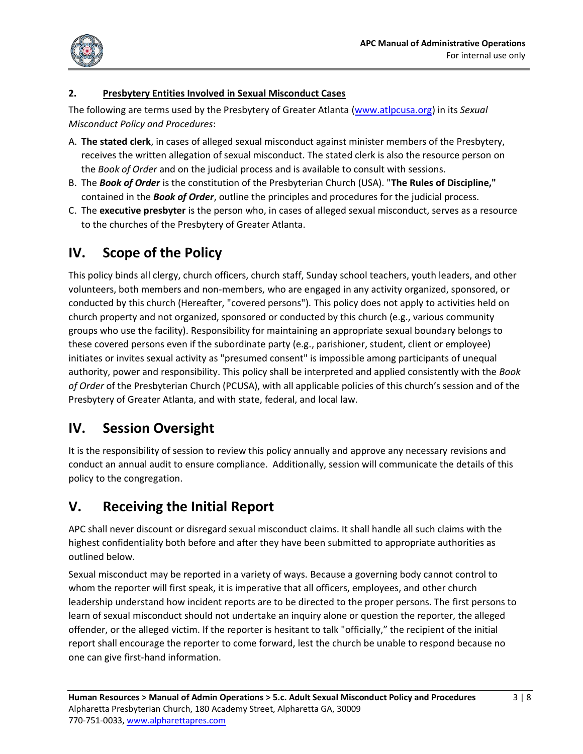

#### <span id="page-2-0"></span>**2. Presbytery Entities Involved in Sexual Misconduct Cases**

The following are terms used by the Presbytery of Greater Atlanta [\(www.atlpcusa.org\)](http://www.atlpcusa.org/) in its *Sexual Misconduct Policy and Procedures*:

- A. **The stated clerk**, in cases of alleged sexual misconduct against minister members of the Presbytery, receives the written allegation of sexual misconduct. The stated clerk is also the resource person on the *Book of Order* and on the judicial process and is available to consult with sessions.
- B. The *Book of Order* is the constitution of the Presbyterian Church (USA). "**The Rules of Discipline,"**  contained in the *Book of Order*, outline the principles and procedures for the judicial process.
- C. The **executive presbyter** is the person who, in cases of alleged sexual misconduct, serves as a resource to the churches of the Presbytery of Greater Atlanta.

#### <span id="page-2-1"></span>**IV. Scope of the Policy**

This policy binds all clergy, church officers, church staff, Sunday school teachers, youth leaders, and other volunteers, both members and non-members, who are engaged in any activity organized, sponsored, or conducted by this church (Hereafter, "covered persons"). This policy does not apply to activities held on church property and not organized, sponsored or conducted by this church (e.g., various community groups who use the facility). Responsibility for maintaining an appropriate sexual boundary belongs to these covered persons even if the subordinate party (e.g., parishioner, student, client or employee) initiates or invites sexual activity as "presumed consent" is impossible among participants of unequal authority, power and responsibility. This policy shall be interpreted and applied consistently with the *Book of Order* of the Presbyterian Church (PCUSA), with all applicable policies of this church's session and of the Presbytery of Greater Atlanta, and with state, federal, and local law.

#### <span id="page-2-2"></span>**IV. Session Oversight**

It is the responsibility of session to review this policy annually and approve any necessary revisions and conduct an annual audit to ensure compliance. Additionally, session will communicate the details of this policy to the congregation.

# <span id="page-2-3"></span>**V. Receiving the Initial Report**

APC shall never discount or disregard sexual misconduct claims. It shall handle all such claims with the highest confidentiality both before and after they have been submitted to appropriate authorities as outlined below.

Sexual misconduct may be reported in a variety of ways. Because a governing body cannot control to whom the reporter will first speak, it is imperative that all officers, employees, and other church leadership understand how incident reports are to be directed to the proper persons. The first persons to learn of sexual misconduct should not undertake an inquiry alone or question the reporter, the alleged offender, or the alleged victim. If the reporter is hesitant to talk "officially," the recipient of the initial report shall encourage the reporter to come forward, lest the church be unable to respond because no one can give first-hand information.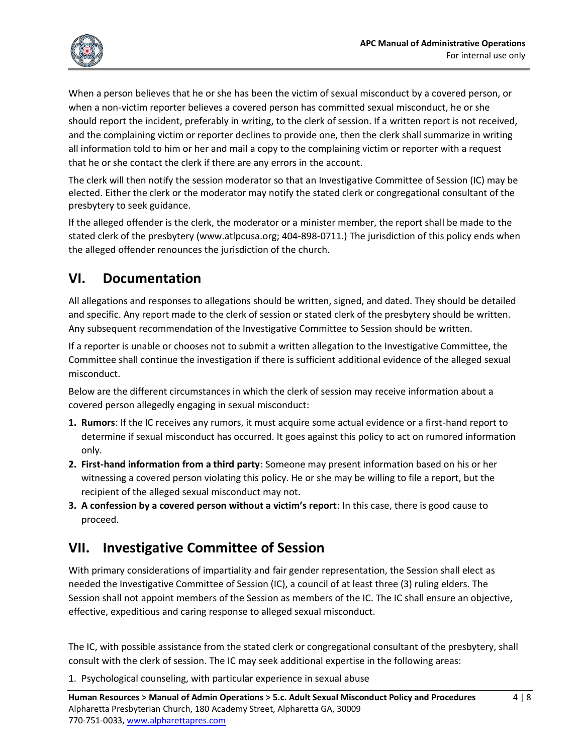

When a person believes that he or she has been the victim of sexual misconduct by a covered person, or when a non-victim reporter believes a covered person has committed sexual misconduct, he or she should report the incident, preferably in writing, to the clerk of session. If a written report is not received, and the complaining victim or reporter declines to provide one, then the clerk shall summarize in writing all information told to him or her and mail a copy to the complaining victim or reporter with a request that he or she contact the clerk if there are any errors in the account.

The clerk will then notify the session moderator so that an Investigative Committee of Session (IC) may be elected. Either the clerk or the moderator may notify the stated clerk or congregational consultant of the presbytery to seek guidance.

If the alleged offender is the clerk, the moderator or a minister member, the report shall be made to the stated clerk of the presbytery (www.atlpcusa.org; 404-898-0711.) The jurisdiction of this policy ends when the alleged offender renounces the jurisdiction of the church.

### <span id="page-3-0"></span>**VI. Documentation**

All allegations and responses to allegations should be written, signed, and dated. They should be detailed and specific. Any report made to the clerk of session or stated clerk of the presbytery should be written. Any subsequent recommendation of the Investigative Committee to Session should be written.

If a reporter is unable or chooses not to submit a written allegation to the Investigative Committee, the Committee shall continue the investigation if there is sufficient additional evidence of the alleged sexual misconduct.

Below are the different circumstances in which the clerk of session may receive information about a covered person allegedly engaging in sexual misconduct:

- **1. Rumors**: If the IC receives any rumors, it must acquire some actual evidence or a first-hand report to determine if sexual misconduct has occurred. It goes against this policy to act on rumored information only.
- **2. First-hand information from a third party**: Someone may present information based on his or her witnessing a covered person violating this policy. He or she may be willing to file a report, but the recipient of the alleged sexual misconduct may not.
- **3. A confession by a covered person without a victim's report**: In this case, there is good cause to proceed.

# <span id="page-3-1"></span>**VII. Investigative Committee of Session**

With primary considerations of impartiality and fair gender representation, the Session shall elect as needed the Investigative Committee of Session (IC), a council of at least three (3) ruling elders. The Session shall not appoint members of the Session as members of the IC. The IC shall ensure an objective, effective, expeditious and caring response to alleged sexual misconduct.

The IC, with possible assistance from the stated clerk or congregational consultant of the presbytery, shall consult with the clerk of session. The IC may seek additional expertise in the following areas:

1. Psychological counseling, with particular experience in sexual abuse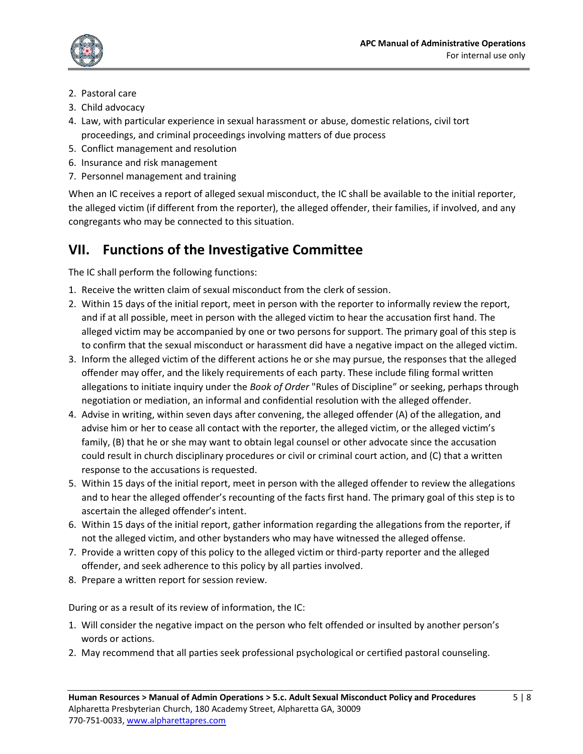

- 2. Pastoral care
- 3. Child advocacy
- 4. Law, with particular experience in sexual harassment or abuse, domestic relations, civil tort proceedings, and criminal proceedings involving matters of due process
- 5. Conflict management and resolution
- 6. Insurance and risk management
- 7. Personnel management and training

When an IC receives a report of alleged sexual misconduct, the IC shall be available to the initial reporter, the alleged victim (if different from the reporter), the alleged offender, their families, if involved, and any congregants who may be connected to this situation.

### <span id="page-4-0"></span>**VII. Functions of the Investigative Committee**

The IC shall perform the following functions:

- 1. Receive the written claim of sexual misconduct from the clerk of session.
- 2. Within 15 days of the initial report, meet in person with the reporter to informally review the report, and if at all possible, meet in person with the alleged victim to hear the accusation first hand. The alleged victim may be accompanied by one or two persons for support. The primary goal of this step is to confirm that the sexual misconduct or harassment did have a negative impact on the alleged victim.
- 3. Inform the alleged victim of the different actions he or she may pursue, the responses that the alleged offender may offer, and the likely requirements of each party. These include filing formal written allegations to initiate inquiry under the *Book of Order* "Rules of Discipline" or seeking, perhaps through negotiation or mediation, an informal and confidential resolution with the alleged offender.
- 4. Advise in writing, within seven days after convening, the alleged offender (A) of the allegation, and advise him or her to cease all contact with the reporter, the alleged victim, or the alleged victim's family, (B) that he or she may want to obtain legal counsel or other advocate since the accusation could result in church disciplinary procedures or civil or criminal court action, and (C) that a written response to the accusations is requested.
- 5. Within 15 days of the initial report, meet in person with the alleged offender to review the allegations and to hear the alleged offender's recounting of the facts first hand. The primary goal of this step is to ascertain the alleged offender's intent.
- 6. Within 15 days of the initial report, gather information regarding the allegations from the reporter, if not the alleged victim, and other bystanders who may have witnessed the alleged offense.
- 7. Provide a written copy of this policy to the alleged victim or third-party reporter and the alleged offender, and seek adherence to this policy by all parties involved.
- 8. Prepare a written report for session review.

During or as a result of its review of information, the IC:

- 1. Will consider the negative impact on the person who felt offended or insulted by another person's words or actions.
- 2. May recommend that all parties seek professional psychological or certified pastoral counseling.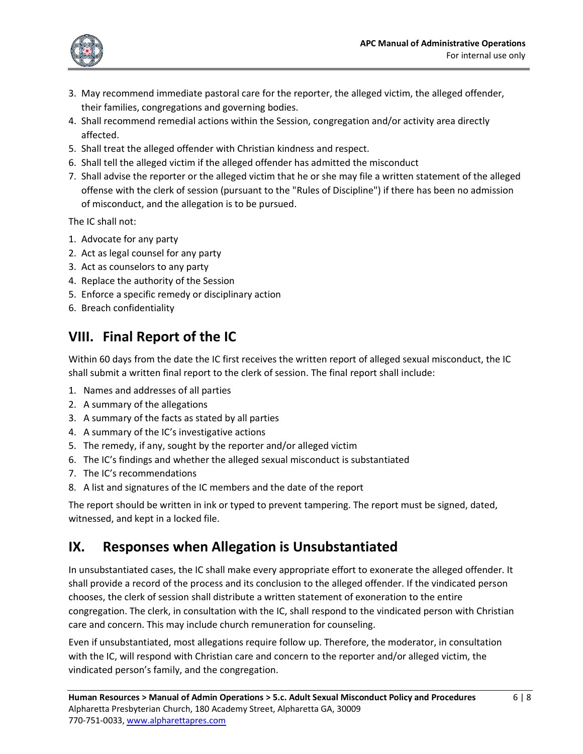

- 3. May recommend immediate pastoral care for the reporter, the alleged victim, the alleged offender, their families, congregations and governing bodies.
- 4. Shall recommend remedial actions within the Session, congregation and/or activity area directly affected.
- 5. Shall treat the alleged offender with Christian kindness and respect.
- 6. Shall tell the alleged victim if the alleged offender has admitted the misconduct
- 7. Shall advise the reporter or the alleged victim that he or she may file a written statement of the alleged offense with the clerk of session (pursuant to the "Rules of Discipline") if there has been no admission of misconduct, and the allegation is to be pursued.

The IC shall not:

- 1. Advocate for any party
- 2. Act as legal counsel for any party
- 3. Act as counselors to any party
- 4. Replace the authority of the Session
- 5. Enforce a specific remedy or disciplinary action
- 6. Breach confidentiality

#### <span id="page-5-0"></span>**VIII. Final Report of the IC**

Within 60 days from the date the IC first receives the written report of alleged sexual misconduct, the IC shall submit a written final report to the clerk of session. The final report shall include:

- 1. Names and addresses of all parties
- 2. A summary of the allegations
- 3. A summary of the facts as stated by all parties
- 4. A summary of the IC's investigative actions
- 5. The remedy, if any, sought by the reporter and/or alleged victim
- 6. The IC's findings and whether the alleged sexual misconduct is substantiated
- 7. The IC's recommendations
- 8. A list and signatures of the IC members and the date of the report

The report should be written in ink or typed to prevent tampering. The report must be signed, dated, witnessed, and kept in a locked file.

#### <span id="page-5-1"></span>**IX. Responses when Allegation is Unsubstantiated**

In unsubstantiated cases, the IC shall make every appropriate effort to exonerate the alleged offender. It shall provide a record of the process and its conclusion to the alleged offender. If the vindicated person chooses, the clerk of session shall distribute a written statement of exoneration to the entire congregation. The clerk, in consultation with the IC, shall respond to the vindicated person with Christian care and concern. This may include church remuneration for counseling.

Even if unsubstantiated, most allegations require follow up. Therefore, the moderator, in consultation with the IC, will respond with Christian care and concern to the reporter and/or alleged victim, the vindicated person's family, and the congregation.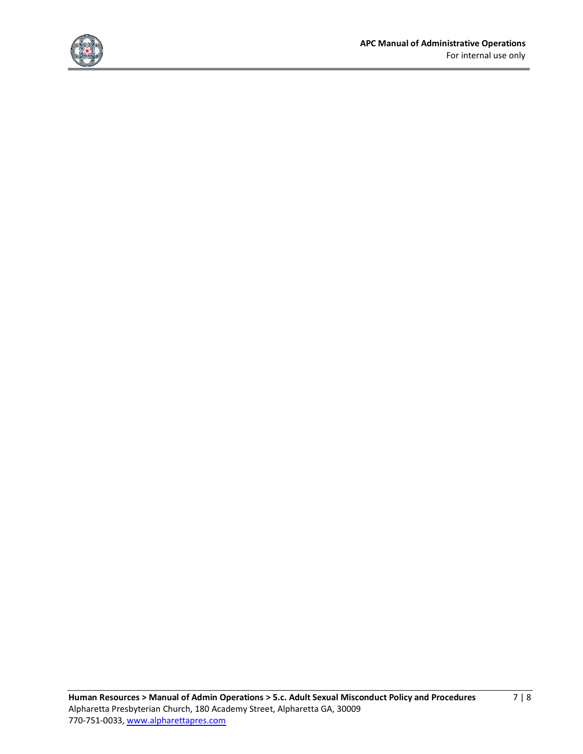